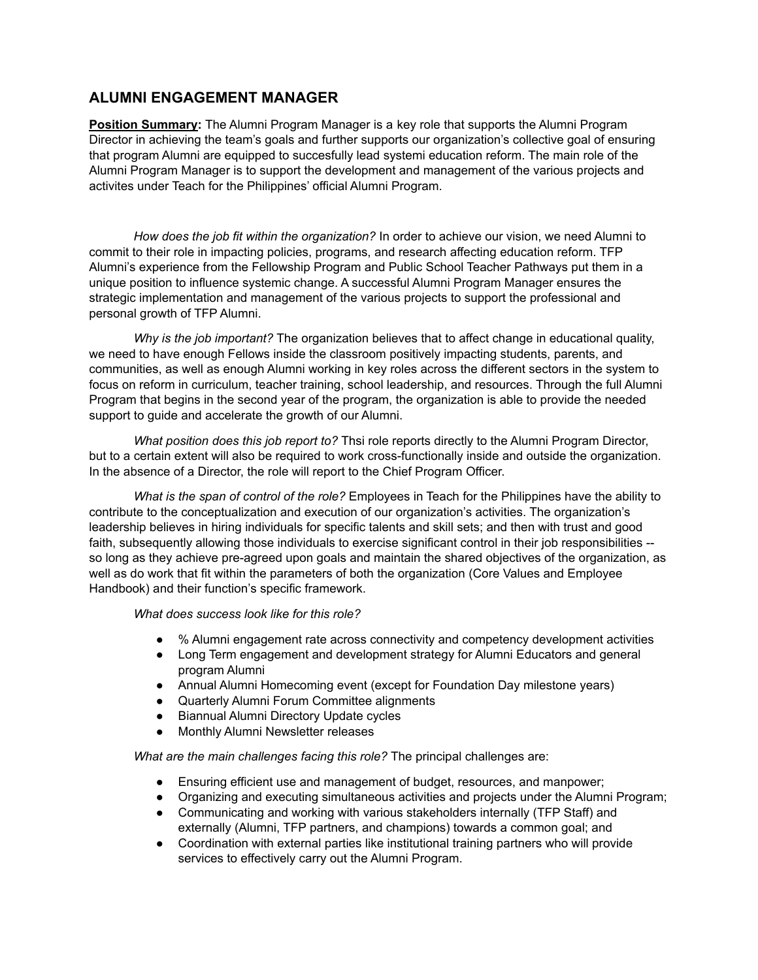## **ALUMNI ENGAGEMENT MANAGER**

**Position Summary:** The Alumni Program Manager is a key role that supports the Alumni Program Director in achieving the team's goals and further supports our organization's collective goal of ensuring that program Alumni are equipped to succesfully lead systemi education reform. The main role of the Alumni Program Manager is to support the development and management of the various projects and activites under Teach for the Philippines' official Alumni Program.

*How does the job fit within the organization?* In order to achieve our vision, we need Alumni to commit to their role in impacting policies, programs, and research affecting education reform. TFP Alumni's experience from the Fellowship Program and Public School Teacher Pathways put them in a unique position to influence systemic change. A successful Alumni Program Manager ensures the strategic implementation and management of the various projects to support the professional and personal growth of TFP Alumni.

*Why is the job important?* The organization believes that to affect change in educational quality, we need to have enough Fellows inside the classroom positively impacting students, parents, and communities, as well as enough Alumni working in key roles across the different sectors in the system to focus on reform in curriculum, teacher training, school leadership, and resources. Through the full Alumni Program that begins in the second year of the program, the organization is able to provide the needed support to guide and accelerate the growth of our Alumni.

*What position does this job report to?* Thsi role reports directly to the Alumni Program Director, but to a certain extent will also be required to work cross-functionally inside and outside the organization. In the absence of a Director, the role will report to the Chief Program Officer.

*What is the span of control of the role?* Employees in Teach for the Philippines have the ability to contribute to the conceptualization and execution of our organization's activities. The organization's leadership believes in hiring individuals for specific talents and skill sets; and then with trust and good faith, subsequently allowing those individuals to exercise significant control in their job responsibilities - so long as they achieve pre-agreed upon goals and maintain the shared objectives of the organization, as well as do work that fit within the parameters of both the organization (Core Values and Employee Handbook) and their function's specific framework.

*What does success look like for this role?*

- % Alumni engagement rate across connectivity and competency development activities
- Long Term engagement and development strategy for Alumni Educators and general program Alumni
- Annual Alumni Homecoming event (except for Foundation Day milestone years)
- Quarterly Alumni Forum Committee alignments
- **Biannual Alumni Directory Update cycles**
- Monthly Alumni Newsletter releases

*What are the main challenges facing this role?* The principal challenges are:

- Ensuring efficient use and management of budget, resources, and manpower;
- Organizing and executing simultaneous activities and projects under the Alumni Program;
- Communicating and working with various stakeholders internally (TFP Staff) and externally (Alumni, TFP partners, and champions) towards a common goal; and
- Coordination with external parties like institutional training partners who will provide services to effectively carry out the Alumni Program.